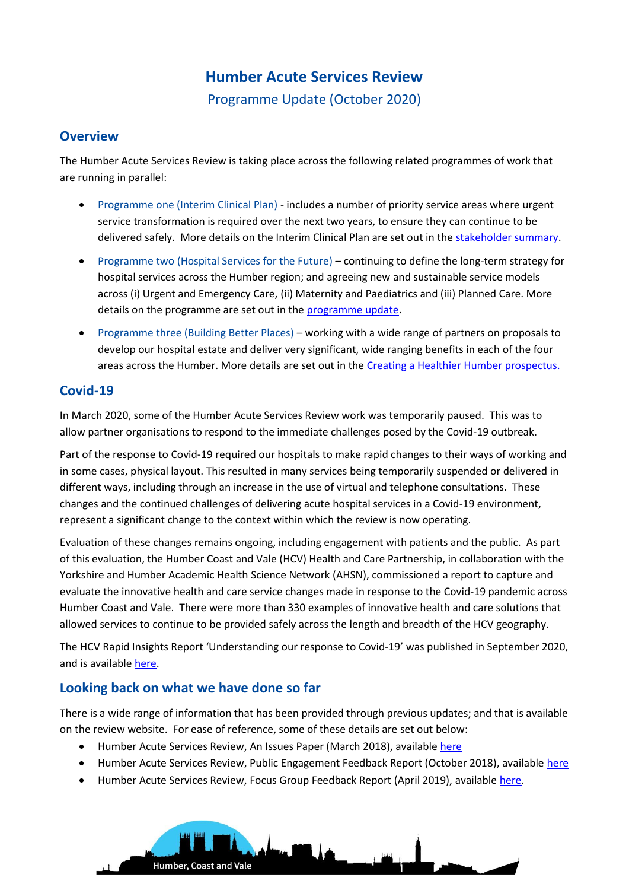# **Humber Acute Services Review**

Programme Update (October 2020)

#### **Overview**

The Humber Acute Services Review is taking place across the following related programmes of work that are running in parallel:

- Programme one (Interim Clinical Plan) includes a number of priority service areas where urgent service transformation is required over the next two years, to ensure they can continue to be delivered safely. More details on the Interim Clinical Plan are set out in the [stakeholder summary.](https://humbercoastandvale.org.uk/wp-content/uploads/2020/09/Interim-Clinical-Plan_summary_final-version.pdf)
- Programme two (Hospital Services for the Future) continuing to define the long-term strategy for hospital services across the Humber region; and agreeing new and sustainable service models across (i) Urgent and Emergency Care, (ii) Maternity and Paediatrics and (iii) Planned Care. More details on the programme are set out in the [programme update.](https://humbercoastandvale.org.uk/wp-content/uploads/2020/10/HASR-Programme-Overview-September-2020.pdf)
- Programme three (Building Better Places) working with a wide range of partners on proposals to develop our hospital estate and deliver very significant, wide ranging benefits in each of the four areas across the Humber. More details are set out in the [Creating a Healthier Humber prospectus.](https://humbercoastandvale.org.uk/wp-content/uploads/2020/05/HASR-Capital-Development.pdf)

### **Covid-19**

In March 2020, some of the Humber Acute Services Review work was temporarily paused. This was to allow partner organisations to respond to the immediate challenges posed by the Covid-19 outbreak.

Part of the response to Covid-19 required our hospitals to make rapid changes to their ways of working and in some cases, physical layout. This resulted in many services being temporarily suspended or delivered in different ways, including through an increase in the use of virtual and telephone consultations. These changes and the continued challenges of delivering acute hospital services in a Covid-19 environment, represent a significant change to the context within which the review is now operating.

Evaluation of these changes remains ongoing, including engagement with patients and the public. As part of this evaluation, the Humber Coast and Vale (HCV) Health and Care Partnership, in collaboration with the Yorkshire and Humber Academic Health Science Network (AHSN), commissioned a report to capture and evaluate the innovative health and care service changes made in response to the Covid-19 pandemic across Humber Coast and Vale. There were more than 330 examples of innovative health and care solutions that allowed services to continue to be provided safely across the length and breadth of the HCV geography.

The HCV Rapid Insights Report 'Understanding our response to Covid-19' was published in September 2020, and is availabl[e here.](https://humbercoastandvale.org.uk/wp-content/uploads/2020/09/Understanding-our-response-to-COVID-19-report-singles.pdf)

### **Looking back on what we have done so far**

There is a wide range of information that has been provided through previous updates; and that is available on the review website. For ease of reference, some of these details are set out below:

- Humber Acute Services Review, An Issues Paper (March 2018), availabl[e here](https://humbercoastandvale.org.uk/wp-content/uploads/2018/03/Issues-document_final_webversion1.pdf)
- Humber Acute Services Review, Public Engagement Feedback Report (October 2018), availabl[e here](https://humbercoastandvale.org.uk/wp-content/uploads/2018/11/Issues-Paper-Feedback-Report_web.pdf)
- Humber Acute Services Review, Focus Group Feedback Report (April 2019), available [here.](https://humbercoastandvale.org.uk/wp-content/uploads/2019/04/Focus-Groups-Feedback-Report_final.pdf)